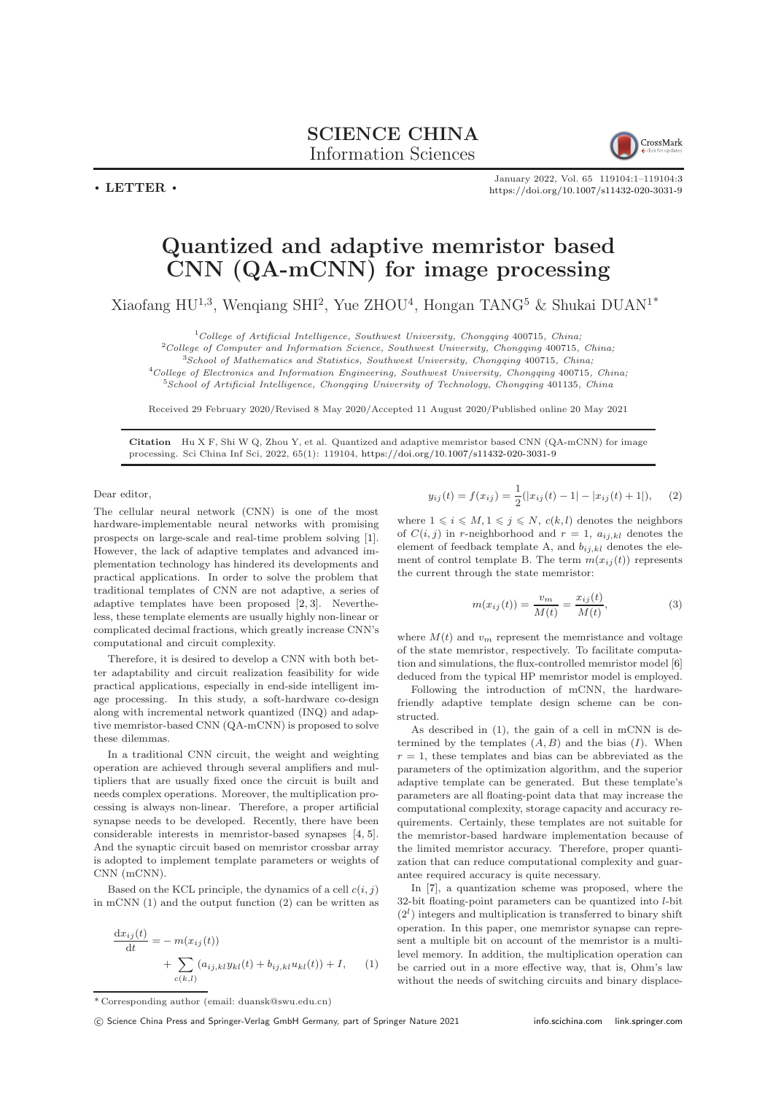SCIENCE CHINA Information Sciences

CrossMark

January 2022, Vol. 65 119104:1–119104[:3](#page-2-0) <https://doi.org/10.1007/s11432-020-3031-9>

## Quantized and adaptive memristor based  $\overline{CNN}$  (QA-mCNN) for image processing

Xiaofang HU<sup>1,3</sup>, Wenqiang SHI<sup>2</sup>, Yue ZHOU<sup>4</sup>, Hongan TANG<sup>5</sup> & Shukai DUAN<sup>1\*</sup>

 $1$ College of Artificial Intelligence, Southwest University, Chongqing 400715, China;

<sup>2</sup>College of Computer and Information Science, Southwest University, Chongqing 400715, China;

 $3$ School of Mathematics and Statistics, Southwest University, Chongqing 400715, China;

 $4$ College of Electronics and Information Engineering, Southwest University, Chongqing 400715, China; <sup>5</sup>School of Artificial Intelligence, Chongqing University of Technology, Chongqing 401135, China

Received 29 February 2020/Revised 8 May 2020/Accepted 11 August 2020/Published online 20 May 2021

Citation Hu X F, Shi W Q, Zhou Y, et al. Quantized and adaptive memristor based CNN (QA-mCNN) for image processing. Sci China Inf Sci, 2022, 65(1): 119104, <https://doi.org/10.1007/s11432-020-3031-9>

Dear editor

 $\cdot$  LETTER  $\cdot$ 

The cellular neural network (CNN) is one of the most hardware-implementable neural networks with promising prospects on large-scale and real-time problem solving [\[1\]](#page-1-0). However, the lack of adaptive templates and advanced implementation technology has hindered its developments and practical applications. In order to solve the problem that traditional templates of CNN are not adaptive, a series of adaptive templates have been proposed [\[2,](#page-2-1) [3\]](#page-2-2). Nevertheless, these template elements are usually highly non-linear or complicated decimal fractions, which greatly increase CNN's computational and circuit complexity.

Therefore, it is desired to develop a CNN with both better adaptability and circuit realization feasibility for wide practical applications, especially in end-side intelligent image processing. In this study, a soft-hardware co-design along with incremental network quantized (INQ) and adaptive memristor-based CNN (QA-mCNN) is proposed to solve these dilemmas.

In a traditional CNN circuit, the weight and weighting operation are achieved through several amplifiers and multipliers that are usually fixed once the circuit is built and needs complex operations. Moreover, the multiplication processing is always non-linear. Therefore, a proper artificial synapse needs to be developed. Recently, there have been considerable interests in memristor-based synapses [\[4,](#page-2-3) [5\]](#page-2-4). And the synaptic circuit based on memristor crossbar array is adopted to implement template parameters or weights of CNN (mCNN).

Based on the KCL principle, the dynamics of a cell  $c(i, j)$ in mCNN (1) and the output function (2) can be written as

$$
\frac{dx_{ij}(t)}{dt} = -m(x_{ij}(t))
$$
  
+ 
$$
\sum_{c(k,l)} (a_{ij,kl}y_{kl}(t) + b_{ij,kl}u_{kl}(t)) + I,
$$
 (1)

$$
y_{ij}(t) = f(x_{ij}) = \frac{1}{2}(|x_{ij}(t) - 1| - |x_{ij}(t) + 1|), \quad (2)
$$

where  $1 \leq i \leq M, 1 \leq j \leq N, c(k, l)$  denotes the neighbors of  $C(i, j)$  in r-neighborhood and  $r = 1$ ,  $a_{ij,kl}$  denotes the element of feedback template A, and  $b_{ij,kl}$  denotes the element of control template B. The term  $m(x_{ij}(t))$  represents the current through the state memristor:

$$
m(x_{ij}(t)) = \frac{v_m}{M(t)} = \frac{x_{ij}(t)}{M(t)},
$$
\n(3)

where  $M(t)$  and  $v_m$  represent the memristance and voltage of the state memristor, respectively. To facilitate computation and simulations, the flux-controlled memristor model [\[6\]](#page-2-5) deduced from the typical HP memristor model is employed.

Following the introduction of mCNN, the hardwarefriendly adaptive template design scheme can be constructed.

As described in (1), the gain of a cell in mCNN is determined by the templates  $(A, B)$  and the bias  $(I)$ . When  $r = 1$ , these templates and bias can be abbreviated as the parameters of the optimization algorithm, and the superior adaptive template can be generated. But these template's parameters are all floating-point data that may increase the computational complexity, storage capacity and accuracy requirements. Certainly, these templates are not suitable for the memristor-based hardware implementation because of the limited memristor accuracy. Therefore, proper quantization that can reduce computational complexity and guarantee required accuracy is quite necessary.

In [\[7\]](#page-2-6), a quantization scheme was proposed, where the 32-bit floating-point parameters can be quantized into l-bit  $(2<sup>l</sup>)$  integers and multiplication is transferred to binary shift operation. In this paper, one memristor synapse can represent a multiple bit on account of the memristor is a multilevel memory. In addition, the multiplication operation can be carried out in a more effective way, that is, Ohm's law without the needs of switching circuits and binary displace-

<sup>\*</sup> Corresponding author (email: duansk@swu.edu.cn)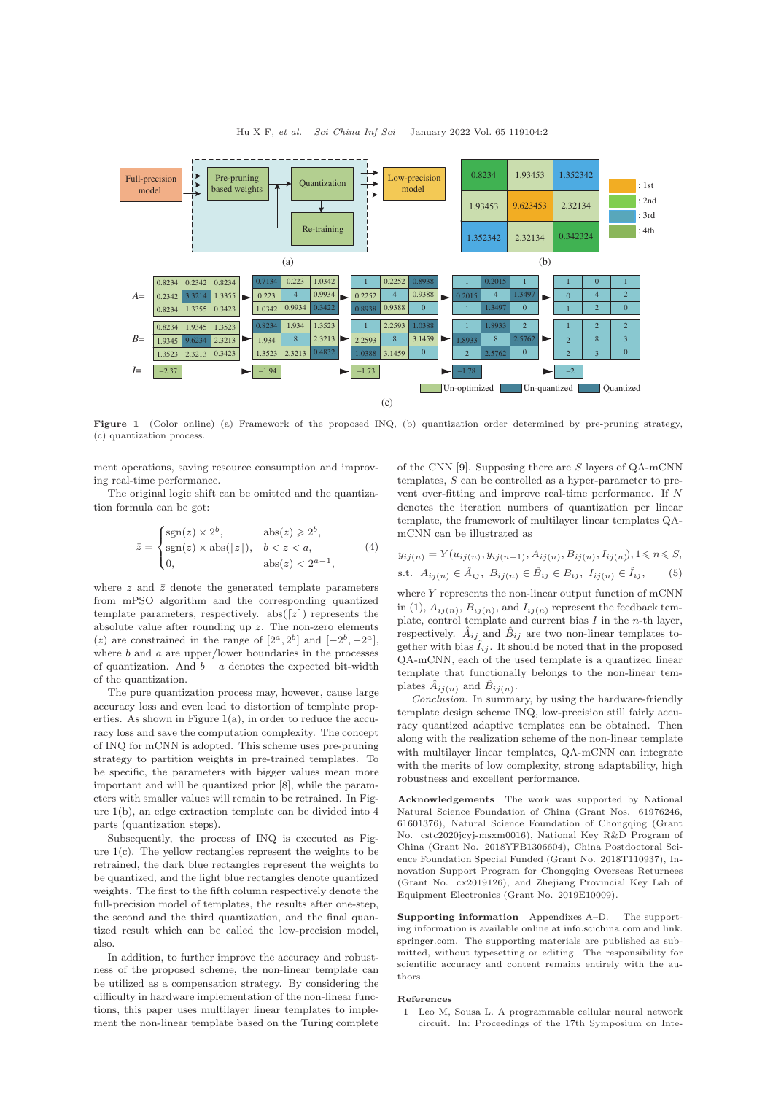<span id="page-1-1"></span>

Figure 1 (Color online) (a) Framework of the proposed INQ, (b) quantization order determined by pre-pruning strategy, (c) quantization process.

ment operations, saving resource consumption and improving real-time performance.

The original logic shift can be omitted and the quantization formula can be got:

$$
\bar{z} = \begin{cases}\n\text{sgn}(z) \times 2^b, & \text{abs}(z) \geq 2^b, \\
\text{sgn}(z) \times \text{abs}(\lceil z \rceil), & b < z < a, \\
0, & \text{abs}(z) < 2^{a-1},\n\end{cases} \tag{4}
$$

where  $z$  and  $\bar{z}$  denote the generated template parameters from mPSO algorithm and the corresponding quantized template parameters, respectively.  $abs([z])$  represents the absolute value after rounding up z. The non-zero elements (z) are constrained in the range of  $[2^a, 2^b]$  and  $[-2^b, -2^a]$ , where  $b$  and  $a$  are upper/lower boundaries in the processes of quantization. And  $b - a$  denotes the expected bit-width of the quantization.

The pure quantization process may, however, cause large accuracy loss and even lead to distortion of template properties. As shown in Figure  $1(a)$  $1(a)$ , in order to reduce the accuracy loss and save the computation complexity. The concept of INQ for mCNN is adopted. This scheme uses pre-pruning strategy to partition weights in pre-trained templates. To be specific, the parameters with bigger values mean more important and will be quantized prior [\[8\]](#page-2-7), while the parameters with smaller values will remain to be retrained. In Figure [1\(](#page-1-1)b), an edge extraction template can be divided into 4 parts (quantization steps).

Subsequently, the process of INQ is executed as Figure [1\(](#page-1-1)c). The yellow rectangles represent the weights to be retrained, the dark blue rectangles represent the weights to be quantized, and the light blue rectangles denote quantized weights. The first to the fifth column respectively denote the full-precision model of templates, the results after one-step, the second and the third quantization, and the final quantized result which can be called the low-precision model, also.

In addition, to further improve the accuracy and robustness of the proposed scheme, the non-linear template can be utilized as a compensation strategy. By considering the difficulty in hardware implementation of the non-linear functions, this paper uses multilayer linear templates to implement the non-linear template based on the Turing complete

of the CNN [\[9\]](#page-2-8). Supposing there are S layers of QA-mCNN templates, S can be controlled as a hyper-parameter to prevent over-fitting and improve real-time performance. If N denotes the iteration numbers of quantization per linear template, the framework of multilayer linear templates QAmCNN can be illustrated as

$$
y_{ij(n)} = Y(u_{ij(n)}, y_{ij(n-1)}, A_{ij(n)}, B_{ij(n)}, I_{ij(n)}), 1 \le n \le S,
$$
  
s.t.  $A_{ij(n)} \in \hat{A}_{ij}, B_{ij(n)} \in \hat{B}_{ij} \in B_{ij}, I_{ij(n)} \in \hat{I}_{ij},$  (5)

where Y represents the non-linear output function of mCNN in (1),  $A_{ij(n)}$ ,  $B_{ij(n)}$ , and  $I_{ij(n)}$  represent the feedback template, control template and current bias  $I$  in the *n*-th layer, respectively.  $\hat{A}_{ij}$  and  $\hat{B}_{ij}$  are two non-linear templates together with bias  $\hat{I}_{ij}$ . It should be noted that in the proposed QA-mCNN, each of the used template is a quantized linear template that functionally belongs to the non-linear templates  $\hat{A}_{ij(n)}$  and  $\hat{B}_{ij(n)}$ .

Conclusion. In summary, by using the hardware-friendly template design scheme INQ, low-precision still fairly accuracy quantized adaptive templates can be obtained. Then along with the realization scheme of the non-linear template with multilayer linear templates, QA-mCNN can integrate with the merits of low complexity, strong adaptability, high robustness and excellent performance.

Acknowledgements The work was supported by National Natural Science Foundation of China (Grant Nos. 61976246, 61601376), Natural Science Foundation of Chongqing (Grant No. cstc2020jcyj-msxm0016), National Key R&D Program of China (Grant No. 2018YFB1306604), China Postdoctoral Science Foundation Special Funded (Grant No. 2018T110937), Innovation Support Program for Chongqing Overseas Returnees (Grant No. cx2019126), and Zhejiang Provincial Key Lab of Equipment Electronics (Grant No. 2019E10009).

Supporting information Appendixes A–D. The supporting information is available online at <info.scichina.com> and [link.](link.springer.com) [springer.com.](link.springer.com) The supporting materials are published as submitted, without typesetting or editing. The responsibility for scientific accuracy and content remains entirely with the authors.

## <span id="page-1-0"></span>References

1 Leo M, Sousa L. A programmable cellular neural network circuit. In: Proceedings of the 17th Symposium on Inte